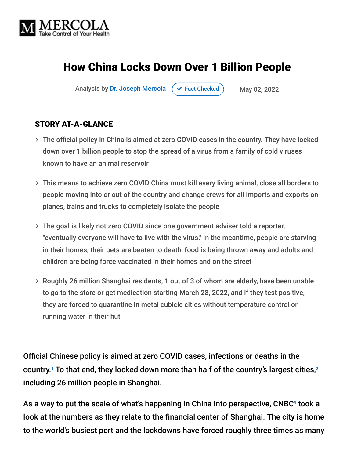

# How China Locks Down Over 1 Billion People

Analysis by [Dr. Joseph Mercola](https://www.mercola.com/forms/background.htm)  $\left( \right. \times$  [Fact Checked](javascript:void(0))  $\left. \right)$  May 02, 2022

#### STORY AT-A-GLANCE

- The official policy in China is aimed at zero COVID cases in the country. They have locked down over 1 billion people to stop the spread of a virus from a family of cold viruses known to have an animal reservoir
- This means to achieve zero COVID China must kill every living animal, close all borders to people moving into or out of the country and change crews for all imports and exports on planes, trains and trucks to completely isolate the people
- The goal is likely not zero COVID since one government adviser told a reporter, "eventually everyone will have to live with the virus." In the meantime, people are starving in their homes, their pets are beaten to death, food is being thrown away and adults and children are being force vaccinated in their homes and on the street
- Roughly 26 million Shanghai residents, 1 out of 3 of whom are elderly, have been unable to go to the store or get medication starting March 28, 2022, and if they test positive, they are forced to quarantine in metal cubicle cities without temperature control or running water in their hut

Official Chinese policy is aimed at zero COVID cases, infections or deaths in the country.<sup>1</sup> To that end, they locked down more than half of the country's largest cities,<sup>2</sup> including 26 million people in Shanghai.

As a way to put the scale of what's happening in China into perspective,  $\mathsf{CNEG}\xspace^3$  took a look at the numbers as they relate to the financial center of Shanghai. The city is home to the world's busiest port and the lockdowns have forced roughly three times as many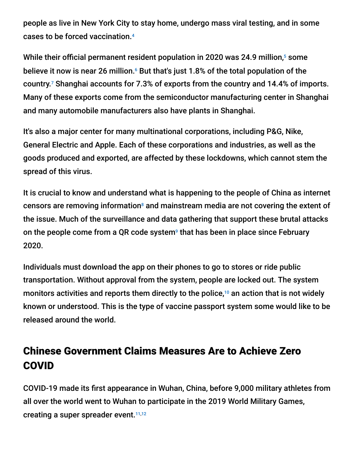people as live in New York City to stay home, undergo mass viral testing, and in some cases to be forced vaccination. 4

While their official permanent resident population in 2020 was 24.9 million,<sup>5</sup> some believe it now is near 26 million. $\cdot$  But that's just 1.8% of the total population of the country. $\frac{7}{7}$  Shanghai accounts for 7.3% of exports from the country and 14.4% of imports. Many of these exports come from the semiconductor manufacturing center in Shanghai and many automobile manufacturers also have plants in Shanghai.

It's also a major center for many multinational corporations, including P&G, Nike, General Electric and Apple. Each of these corporations and industries, as well as the goods produced and exported, are affected by these lockdowns, which cannot stem the spread of this virus.

It is crucial to know and understand what is happening to the people of China as internet censors are removing information $^{\circ}$  and mainstream media are not covering the extent of the issue. Much of the surveillance and data gathering that support these brutal attacks on the people come from a QR code system<sup>9</sup> that has been in place since February 2020.

Individuals must download the app on their phones to go to stores or ride public transportation. Without approval from the system, people are locked out. The system monitors activities and reports them directly to the police, $10$  an action that is not widely known or understood. This is the type of vaccine passport system some would like to be released around the world.

# Chinese Government Claims Measures Are to Achieve Zero COVID

COVID-19 made its first appearance in Wuhan, China, before 9,000 military athletes from all over the world went to Wuhan to participate in the 2019 World Military Games, creating a super spreader event.<sup>11,12</sup>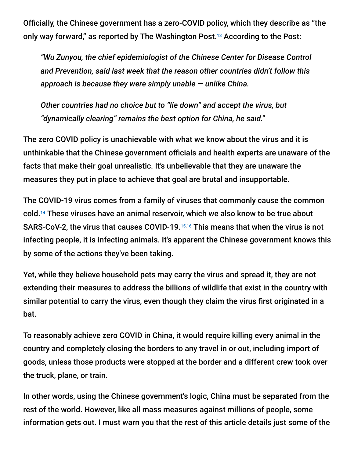Officially, the Chinese government has a zero-COVID policy, which they describe as "the only way forward," as reported by The Washington Post.<sup>13</sup> According to the Post:

*"Wu Zunyou, the chief epidemiologist of the Chinese Center for Disease Control and Prevention, said last week that the reason other countries didn't follow this approach is because they were simply unable — unlike China.*

*Other countries had no choice but to "lie down" and accept the virus, but "dynamically clearing" remains the best option for China, he said."*

The zero COVID policy is unachievable with what we know about the virus and it is unthinkable that the Chinese government officials and health experts are unaware of the facts that make their goal unrealistic. It's unbelievable that they are unaware the measures they put in place to achieve that goal are brutal and insupportable.

The COVID-19 virus comes from a family of viruses that commonly cause the common cold.<sup>14</sup> These viruses have an animal reservoir, which we also know to be true about SARS-CoV-2, the virus that causes COVID-19.<sup>15,16</sup> This means that when the virus is not infecting people, it is infecting animals. It's apparent the Chinese government knows this by some of the actions they've been taking.

Yet, while they believe household pets may carry the virus and spread it, they are not extending their measures to address the billions of wildlife that exist in the country with similar potential to carry the virus, even though they claim the virus first originated in a bat.

To reasonably achieve zero COVID in China, it would require killing every animal in the country and completely closing the borders to any travel in or out, including import of goods, unless those products were stopped at the border and a different crew took over the truck, plane, or train.

In other words, using the Chinese government's logic, China must be separated from the rest of the world. However, like all mass measures against millions of people, some information gets out. I must warn you that the rest of this article details just some of the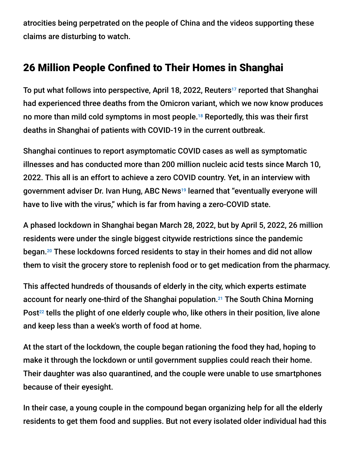atrocities being perpetrated on the people of China and the videos supporting these claims are disturbing to watch.

## 26 Million People Confined to Their Homes in Shanghai

To put what follows into perspective, April 18, 2022, Reuters<sup>17</sup> reported that Shanghai had experienced three deaths from the Omicron variant, which we now know produces no more than mild cold symptoms in most people.<sup>18</sup> Reportedly, this was their first deaths in Shanghai of patients with COVID-19 in the current outbreak.

Shanghai continues to report asymptomatic COVID cases as well as symptomatic illnesses and has conducted more than 200 million nucleic acid tests since March 10, 2022. This all is an effort to achieve a zero COVID country. Yet, in an interview with government adviser Dr. Ivan Hung, ABC News<sup>19</sup> learned that "eventually everyone will have to live with the virus," which is far from having a zero-COVID state.

A phased lockdown in Shanghai began March 28, 2022, but by April 5, 2022, 26 million residents were under the single biggest citywide restrictions since the pandemic began.<sup>20</sup> These lockdowns forced residents to stay in their homes and did not allow them to visit the grocery store to replenish food or to get medication from the pharmacy.

This affected hundreds of thousands of elderly in the city, which experts estimate account for nearly one-third of the Shanghai population.<sup>21</sup> The South China Morning Post $^{22}$  tells the plight of one elderly couple who, like others in their position, live alone and keep less than a week's worth of food at home.

At the start of the lockdown, the couple began rationing the food they had, hoping to make it through the lockdown or until government supplies could reach their home. Their daughter was also quarantined, and the couple were unable to use smartphones because of their eyesight.

In their case, a young couple in the compound began organizing help for all the elderly residents to get them food and supplies. But not every isolated older individual had this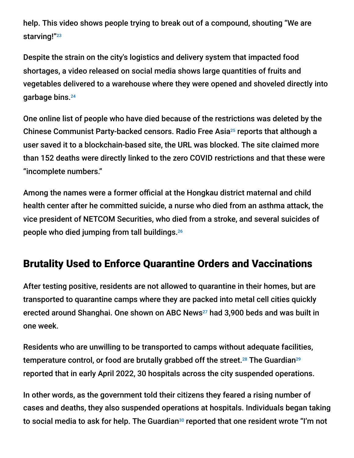help. This video shows people trying to break out of a compound, shouting "We are starving!" 23

Despite the strain on the city's logistics and delivery system that impacted food shortages, a video released on social media shows large quantities of fruits and vegetables delivered to a warehouse where they were opened and shoveled directly into garbage bins. 24

One online list of people who have died because of the restrictions was deleted by the Chinese Communist Party-backed censors. Radio Free Asia<sup>25</sup> reports that although a user saved it to a blockchain-based site, the URL was blocked. The site claimed more than 152 deaths were directly linked to the zero COVID restrictions and that these were "incomplete numbers."

Among the names were a former official at the Hongkau district maternal and child health center after he committed suicide, a nurse who died from an asthma attack, the vice president of NETCOM Securities, who died from a stroke, and several suicides of people who died jumping from tall buildings. 26

## Brutality Used to Enforce Quarantine Orders and Vaccinations

After testing positive, residents are not allowed to quarantine in their homes, but are transported to quarantine camps where they are packed into metal cell cities quickly erected around Shanghai. One shown on ABC News<sup>27</sup> had 3,900 beds and was built in one week.

Residents who are unwilling to be transported to camps without adequate facilities, temperature control, or food are brutally grabbed off the street.<sup>28</sup> The Guardian<sup>29</sup> reported that in early April 2022, 30 hospitals across the city suspended operations.

In other words, as the government told their citizens they feared a rising number of cases and deaths, they also suspended operations at hospitals. Individuals began taking to social media to ask for help. The Guardian $^{\text{30}}$  reported that one resident wrote "I'm not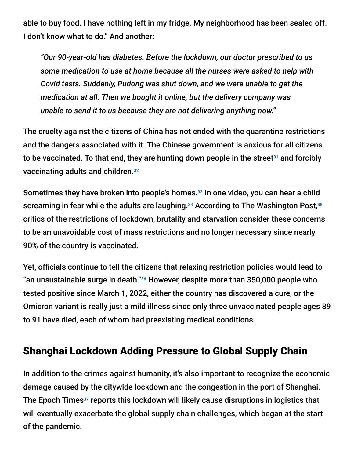able to buy food. I have nothing left in my fridge. My neighborhood has been sealed off. I don't know what to do." And another:

*"Our 90-year-old has diabetes. Before the lockdown, our doctor prescribed to us some medication to use at home because all the nurses were asked to help with Covid tests. Suddenly, Pudong was shut down, and we were unable to get the medication at all. Then we bought it online, but the delivery company was unable to send it to us because they are not delivering anything now."*

The cruelty against the citizens of China has not ended with the quarantine restrictions and the dangers associated with it. The Chinese government is anxious for all citizens to be vaccinated. To that end, they are hunting down people in the street<sup>31</sup> and forcibly vaccinating adults and children. 32

Sometimes they have broken into people's homes.<sup>33</sup> In one video, you can hear a child screaming in fear while the adults are laughing. $^{34}$  According to The Washington Post, $^{35}$ critics of the restrictions of lockdown, brutality and starvation consider these concerns to be an unavoidable cost of mass restrictions and no longer necessary since nearly 90% of the country is vaccinated.

Yet, officials continue to tell the citizens that relaxing restriction policies would lead to "an unsustainable surge in death." $36$  However, despite more than 350,000 people who tested positive since March 1, 2022, either the country has discovered a cure, or the Omicron variant is really just a mild illness since only three unvaccinated people ages 89 to 91 have died, each of whom had preexisting medical conditions.

### Shanghai Lockdown Adding Pressure to Global Supply Chain

In addition to the crimes against humanity, it's also important to recognize the economic damage caused by the citywide lockdown and the congestion in the port of Shanghai. The Epoch Times<sup>37</sup> reports this lockdown will likely cause disruptions in logistics that will eventually exacerbate the global supply chain challenges, which began at the start of the pandemic.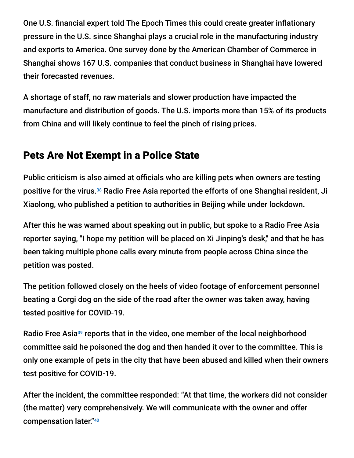One U.S. financial expert told The Epoch Times this could create greater inflationary pressure in the U.S. since Shanghai plays a crucial role in the manufacturing industry and exports to America. One survey done by the American Chamber of Commerce in Shanghai shows 167 U.S. companies that conduct business in Shanghai have lowered their forecasted revenues.

A shortage of staff, no raw materials and slower production have impacted the manufacture and distribution of goods. The U.S. imports more than 15% of its products from China and will likely continue to feel the pinch of rising prices.

### Pets Are Not Exempt in a Police State

Public criticism is also aimed at officials who are killing pets when owners are testing positive for the virus.<sup>38</sup> Radio Free Asia reported the efforts of one Shanghai resident, Ji Xiaolong, who published a petition to authorities in Beijing while under lockdown.

After this he was warned about speaking out in public, but spoke to a Radio Free Asia reporter saying, "I hope my petition will be placed on Xi Jinping's desk," and that he has been taking multiple phone calls every minute from people across China since the petition was posted.

The petition followed closely on the heels of video footage of enforcement personnel beating a Corgi dog on the side of the road after the owner was taken away, having tested positive for COVID-19.

Radio Free Asia<sup>39</sup> reports that in the video, one member of the local neighborhood committee said he poisoned the dog and then handed it over to the committee. This is only one example of pets in the city that have been abused and killed when their owners test positive for COVID-19.

After the incident, the committee responded: "At that time, the workers did not consider (the matter) very comprehensively. We will communicate with the owner and offer compensation later." 40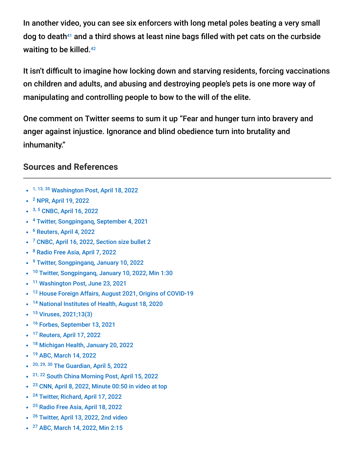In another video, you can see six enforcers with long metal poles beating a very small dog to death $41$  and a third shows at least nine bags filled with pet cats on the curbside waiting to be killed.<sup>42</sup>

It isn't difficult to imagine how locking down and starving residents, forcing vaccinations on children and adults, and abusing and destroying people's pets is one more way of manipulating and controlling people to bow to the will of the elite.

One comment on Twitter seems to sum it up "Fear and hunger turn into bravery and anger against injustice. Ignorance and blind obedience turn into brutality and inhumanity."

#### **Sources and References**

- <sup>1, 13, 35</sup> [Washington Post, April 18, 2022](https://www.washingtonpost.com/world/2022/04/18/shanghai-china-covid-xi-media/)
- <sup>2</sup> [NPR, April 19, 2022](https://www.npr.org/2022/04/19/1093620434/45-cities-in-china-are-in-some-sort-of-covid-lockdown-heres-the-toll-thats-takin)
- <sup>3, 5</sup> [CNBC, April 16, 2022](https://www.cnbc.com/2022/04/17/shanghai-by-the-numbers-chinas-covid-lockdowns.html)
- <sup>4</sup> [Twitter, Songpinganq, September 4, 2021](https://twitter.com/songpinganq/status/1434059166482526212)
- <sup>6</sup> [Reuters, April 4, 2022](https://www.reuters.com/world/china/china-sends-military-doctors-shanghai-test-26-mln-residents-covid-2022-04-04/)
- <sup>7</sup> [CNBC, April 16, 2022, Section size bullet 2](https://www.cnbc.com/2022/04/17/shanghai-by-the-numbers-chinas-covid-lockdowns.html)
- <sup>8</sup> [Radio Free Asia, April 7, 2022](https://www.rfa.org/english/news/china/shi-jun-suicide-04072022105140.html)
- <sup>9</sup> [Twitter, Songpinganq, January 10, 2022](https://twitter.com/songpinganq/status/1480603002171887616)
- <sup>10</sup> [Twitter, Songpinganq, January 10, 2022, Min 1:30](https://twitter.com/songpinganq/status/1480612256866258946)
- <sup>11</sup> [Washington Post, June 23, 2021](https://www.washingtonpost.com/opinions/2021/06/23/congress-wuhan-military-games-2019-covid/)
- <sup>12</sup> [House Foreign Affairs, August 2021, Origins of COVID-19](https://gop-foreignaffairs.house.gov/wp-content/uploads/2021/08/ORIGINS-OF-COVID-19-REPORT.pdf)
- <sup>14</sup> [National Institutes of Health, August 18, 2020](https://www.nih.gov/news-events/nih-research-matters/immune-cells-common-cold-may-recognize-sars-cov-2)
- <sup>15</sup> [Viruses, 2021;13\(3\)](https://www.ncbi.nlm.nih.gov/pmc/articles/PMC8002747/)
- <sup>16</sup> [Forbes, September 13, 2021](https://www.forbes.com/sites/williamhaseltine/2021/09/13/animal-reservoirs-of-covid-19-may-trigger-new-rounds-of-human-disease/?sh=779fa3a21776)
- <sup>17</sup> [Reuters, April 17, 2022](https://www.reuters.com/world/china/shanghai-reports-three-deaths-among-covid-patients-april-17-2022-04-18/)
- <sup>18</sup> [Michigan Health, January 20, 2022](https://healthblog.uofmhealth.org/wellness-prevention/omicron-really-mild)  $\bullet$
- <sup>19</sup> [ABC, March 14, 2022](https://abcnews.go.com/International/china-orders-51-million-lockdown-covid-surges/story?id=83431247)
- <sup>20, 29, 30</sup> [The Guardian, April 5, 2022](https://www.theguardian.com/world/2022/apr/05/shanghai-puts-whole-city-on-lockdown-as-covid-cases-surge)
- <sup>21, 22</sup> [South China Morning Post, April 15, 2022](https://www.scmp.com/news/people-culture/social-welfare/article/3174318/coronavirus-shanghais-forgotten-elderly-rely)
- $23$  [CNN, April 8, 2022, Minute 00:50 in video at top](https://www.cnn.com/2022/04/08/china/shanghai-corgi-death-china-covid-intl-hnk/index.html)  $\bullet$
- <sup>24</sup> [Twitter, Richard, April 17, 2022](https://twitter.com/Richard84196567/status/1515739726312923145?s=20&t=cuhgb13FOPKoMyB6BRpYUw)
- <sup>25</sup> [Radio Free Asia, April 18, 2022](https://www.rfa.org/english/news/china/shanghai-covid-04182022133810.html)
- <sup>26</sup> [Twitter, April 13, 2022, 2nd video](https://twitter.com/kalapani_969/status/1514339173787832320)
- <sup>27</sup> [ABC, March 14, 2022, Min 2:15](https://abcnews.go.com/International/china-orders-51-million-lockdown-covid-surges/story?id=83431247)